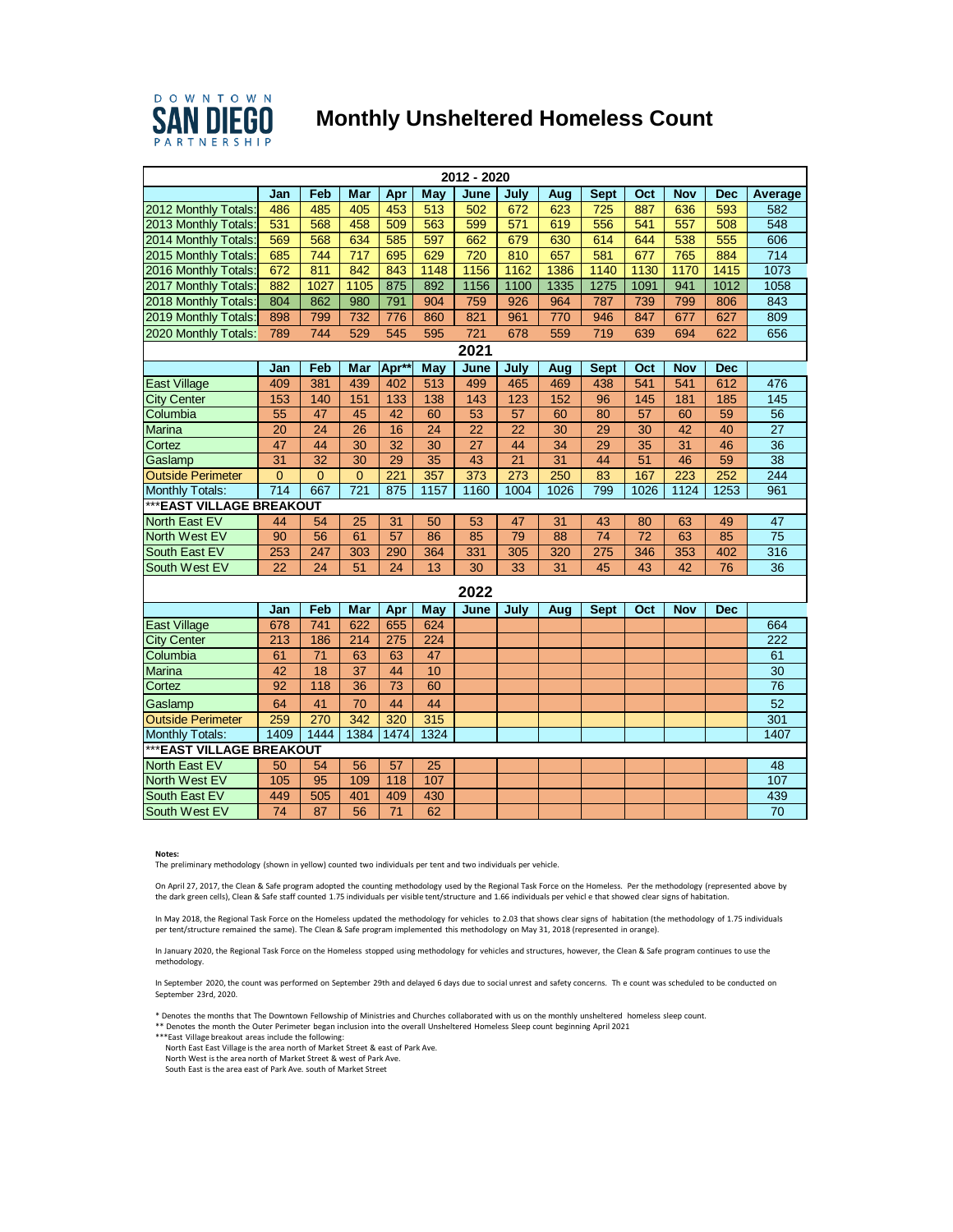

## **SAN DIEGO** Monthly Unsheltered Homeless Count

| 2012 - 2020               |                           |                 |                  |                  |                 |                  |      |                 |                 |                 |                 |            |                  |  |
|---------------------------|---------------------------|-----------------|------------------|------------------|-----------------|------------------|------|-----------------|-----------------|-----------------|-----------------|------------|------------------|--|
|                           | Jan                       | Feb             | Mar              | Apr              | May             | June             | July | Aug             | <b>Sept</b>     | Oct             | <b>Nov</b>      | <b>Dec</b> | Average          |  |
| 2012 Monthly Totals:      | 486                       | 485             | 405              | 453              | 513             | 502              | 672  | 623             | 725             | 887             | 636             | 593        | 582              |  |
| 2013 Monthly Totals:      | 531                       | 568             | 458              | 509              | 563             | 599              | 571  | 619             | 556             | 541             | 557             | 508        | 548              |  |
| 2014 Monthly Totals:      | 569                       | 568             | 634              | 585              | 597             | 662              | 679  | 630             | 614             | 644             | 538             | 555        | 606              |  |
| 2015 Monthly Totals:      | 685                       | 744             | $\overline{717}$ | 695              | 629             | 720              | 810  | 657             | 581             | 677             | 765             | 884        | $\overline{714}$ |  |
| 2016 Monthly Totals:      | 672                       | 811             | 842              | 843              | 1148            | 1156             | 1162 | 1386            | 1140            | 1130            | 1170            | 1415       | 1073             |  |
| 2017 Monthly Totals:      | 882                       | 1027            | 1105             | 875              | 892             | 1156             | 1100 | 1335            | 1275            | 1091            | 941             | 1012       | 1058             |  |
| 2018 Monthly Totals:      | 804                       | 862             | 980              | 791              | 904             | 759              | 926  | 964             | 787             | 739             | 799             | 806        | 843              |  |
| 2019 Monthly Totals:      | 898                       | 799             | 732              | 776              | 860             | 821              | 961  | 770             | 946             | 847             | 677             | 627        | 809              |  |
| 2020 Monthly Totals:      | 789                       | 744             | 529              | 545              | 595             | 721              | 678  | 559             | 719             | 639             | 694             | 622        | 656              |  |
| 2021                      |                           |                 |                  |                  |                 |                  |      |                 |                 |                 |                 |            |                  |  |
|                           | Jan                       | Feb             | Mar              | Apr*             | May             | June             | July | Aug             | <b>Sept</b>     | Oct             | <b>Nov</b>      | <b>Dec</b> |                  |  |
| <b>East Village</b>       | 409                       | 381             | 439              | 402              | 513             | 499              | 465  | 469             | 438             | 541             | 541             | 612        | 476              |  |
| <b>City Center</b>        | 153                       | 140             | 151              | 133              | 138             | 143              | 123  | 152             | 96              | 145             | 181             | 185        | 145              |  |
| Columbia                  | 55                        | 47              | 45               | 42               | 60              | 53               | 57   | 60              | 80              | $\overline{57}$ | 60              | 59         | 56               |  |
| Marina                    | $\overline{20}$           | 24              | $\overline{26}$  | 16               | $\overline{24}$ | $\overline{22}$  | 22   | $\overline{30}$ | 29              | 30              | $\overline{42}$ | 40         | $\overline{27}$  |  |
| Cortez                    | 47                        | 44              | $\overline{30}$  | $\overline{32}$  | $\overline{30}$ | $\overline{27}$  | 44   | $\overline{34}$ | 29              | $\overline{35}$ | $\overline{31}$ | 46         | $\overline{36}$  |  |
| Gaslamp                   | $\overline{31}$           | $\overline{32}$ | $\overline{30}$  | 29               | $\overline{35}$ | 43               | 21   | 31              | 44              | $\overline{51}$ | 46              | 59         | $\overline{38}$  |  |
| <b>Outside Perimeter</b>  | $\overline{0}$            | $\overline{0}$  | $\overline{0}$   | $\overline{221}$ | 357             | $\overline{373}$ | 273  | 250             | 83              | 167             | 223             | 252        | 244              |  |
| <b>Monthly Totals:</b>    | $\overline{714}$          | 667             | 721              | 875              | 1157            | 1160             | 1004 | 1026            | 799             | 1026            | 1124            | 1253       | 961              |  |
| *** EAST VILLAGE BREAKOUT |                           |                 |                  |                  |                 |                  |      |                 |                 |                 |                 |            |                  |  |
| North East EV             | 44                        | 54              | 25               | 31               | 50              | 53               | 47   | 31              | 43              | 80              | 63              | 49         | 47               |  |
| North West EV             | 90                        | $\overline{56}$ | 61               | $\overline{57}$  | 86              | 85               | 79   | 88              | $\overline{74}$ | $\overline{72}$ | 63              | 85         | $\overline{75}$  |  |
| South East EV             | 253                       | 247             | 303              | 290              | 364             | 331              | 305  | 320             | 275             | 346             | 353             | 402        | 316              |  |
| South West EV             | $\overline{22}$           | $\overline{24}$ | 51               | $\overline{24}$  | $\overline{13}$ | $\overline{30}$  | 33   | 31              | 45              | 43              | $\overline{42}$ | 76         | 36               |  |
| 2022                      |                           |                 |                  |                  |                 |                  |      |                 |                 |                 |                 |            |                  |  |
|                           | Jan                       | Feb             | Mar              | Apr              | May             | June             | July | Aug             | <b>Sept</b>     | Oct             | <b>Nov</b>      | <b>Dec</b> |                  |  |
| <b>East Village</b>       | 678                       | 741             | 622              | 655              | 624             |                  |      |                 |                 |                 |                 |            | 664              |  |
| <b>City Center</b>        | 213                       | 186             | 214              | 275              | 224             |                  |      |                 |                 |                 |                 |            | 222              |  |
| Columbia                  | 61                        | $\overline{71}$ | 63               | 63               | 47              |                  |      |                 |                 |                 |                 |            | 61               |  |
| <b>Marina</b>             | $\overline{42}$           | 18              | $\overline{37}$  | 44               | 10              |                  |      |                 |                 |                 |                 |            | $\overline{30}$  |  |
| Cortez                    | 92                        | 118             | 36               | 73               | 60              |                  |      |                 |                 |                 |                 |            | 76               |  |
| Gaslamp                   | 64                        | 41              | 70               | 44               | 44              |                  |      |                 |                 |                 |                 |            | 52               |  |
| <b>Outside Perimeter</b>  | 259                       | 270             | $\overline{342}$ | 320              | 315             |                  |      |                 |                 |                 |                 |            | 301              |  |
| Monthly Totals:           | 1409                      | 1444            | 1384             | 1474             | 1324            |                  |      |                 |                 |                 |                 |            | 1407             |  |
|                           | *** EAST VILLAGE BREAKOUT |                 |                  |                  |                 |                  |      |                 |                 |                 |                 |            |                  |  |
| North East EV             | 50                        | 54              | 56               | 57               | 25              |                  |      |                 |                 |                 |                 |            | 48               |  |
| North West EV             | 105                       | 95              | 109              | 118              | 107             |                  |      |                 |                 |                 |                 |            | 107              |  |
| South East EV             | 449                       | 505             | 401              | 409              | 430             |                  |      |                 |                 |                 |                 |            | 439              |  |
| South West EV             | 74                        | 87              | 56               | 71               | 62              |                  |      |                 |                 |                 |                 |            | 70               |  |

**Notes:** 

The preliminary methodology (shown in yellow) counted two individuals per tent and two individuals per vehicle.

On April 27, 2017, the Clean & Safe program adopted the counting methodology used by the Regional Task Force on the Homeless. Per the methodology (represented above by<br>the dark green cells), Clean & Safe staff counted 1.75

In May 2018, the Regional Task Force on the Homeless updated the methodology for vehicles to 2.03 that shows clear signs of habitation (the methodology of 1.75 individuals<br>per tent/structure remained the same). The Clean &

In January 2020, the Regional Task Force on the Homeless stopped using methodology for vehicles and structures, however, the Clean & Safe program continues to use the methodology.

In September 2020, the count was performed on September 29th and delayed 6 days due to social unrest and safety concerns. Th e count was scheduled to be conducted on September 23rd, 2020.

\* Denotes the months that The Downtown Fellowship of Ministries and Churches collaborated with us on the monthly unsheltered homeless sleep count. \*\* Denotes the month the Outer Perimeter began inclusion into the overall Unsheltered Homeless Sleep count beginning April 2021

\*\*\*East Village breakout areas include the following: North East East Village is the area north of Market Street & east of Park Ave.

North West is the area north of Market Street & west of Park Ave.

South East is the area east of Park Ave. south of Market Street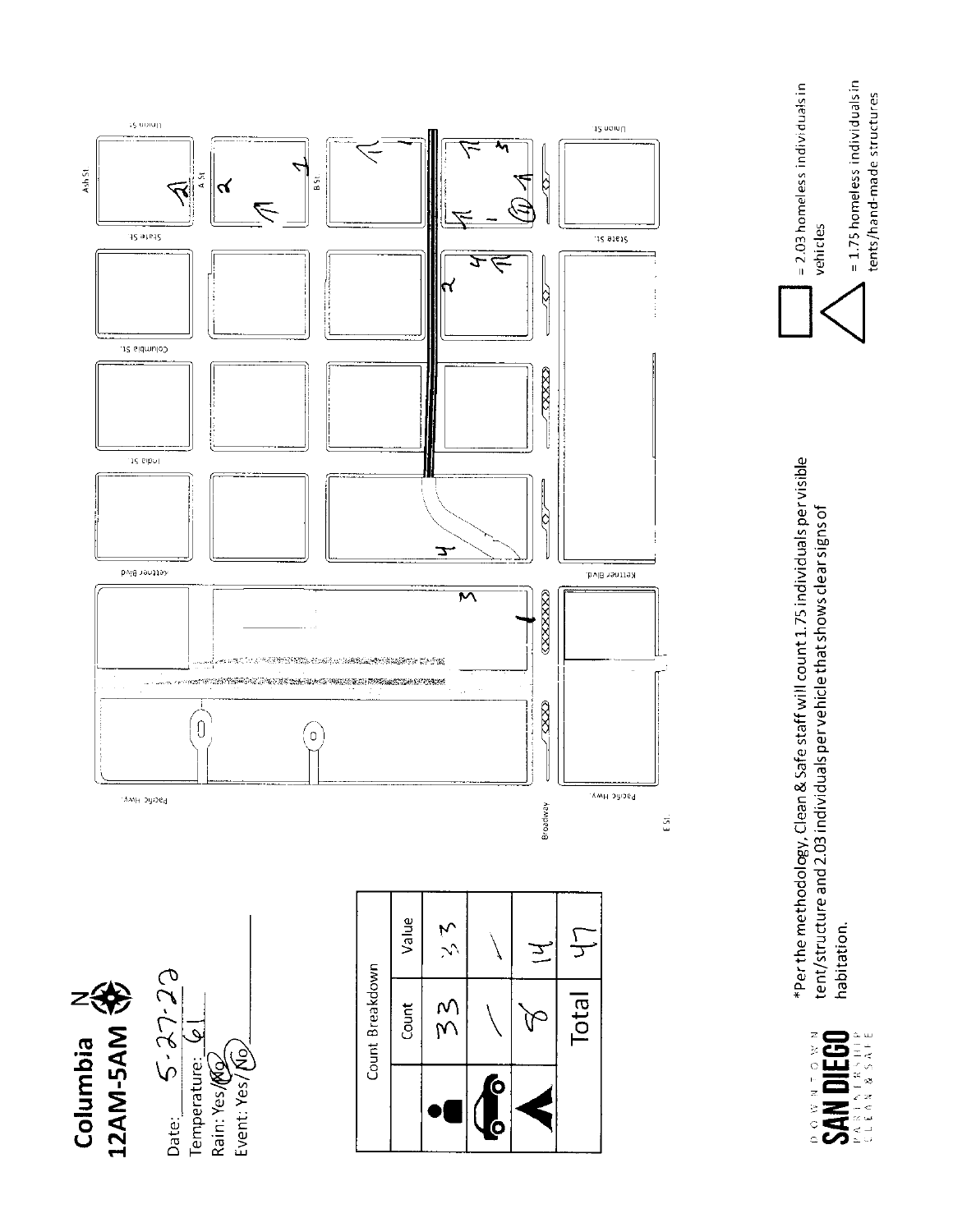

 $= 1.75$  homeless individuals in

tents/hand-made structures

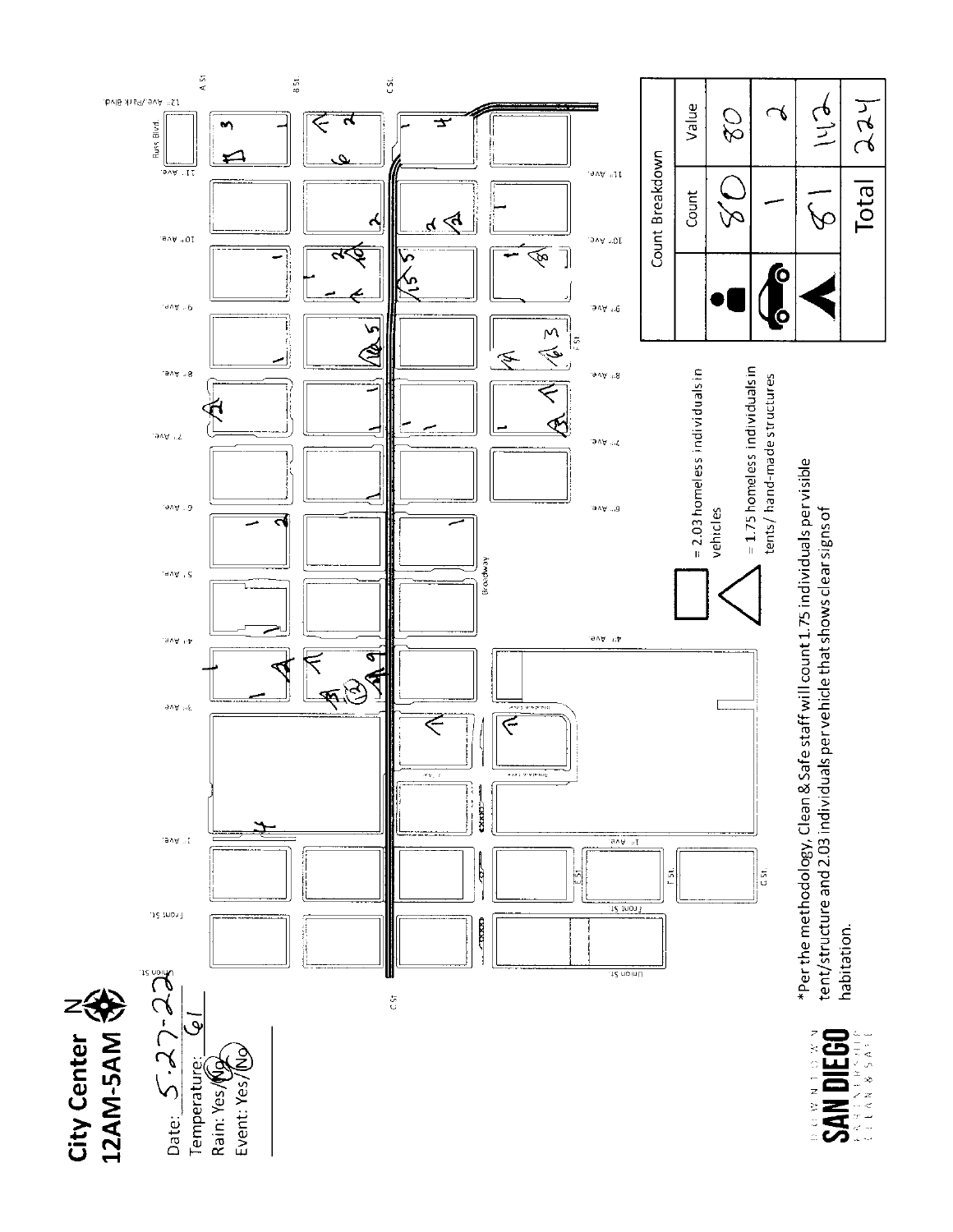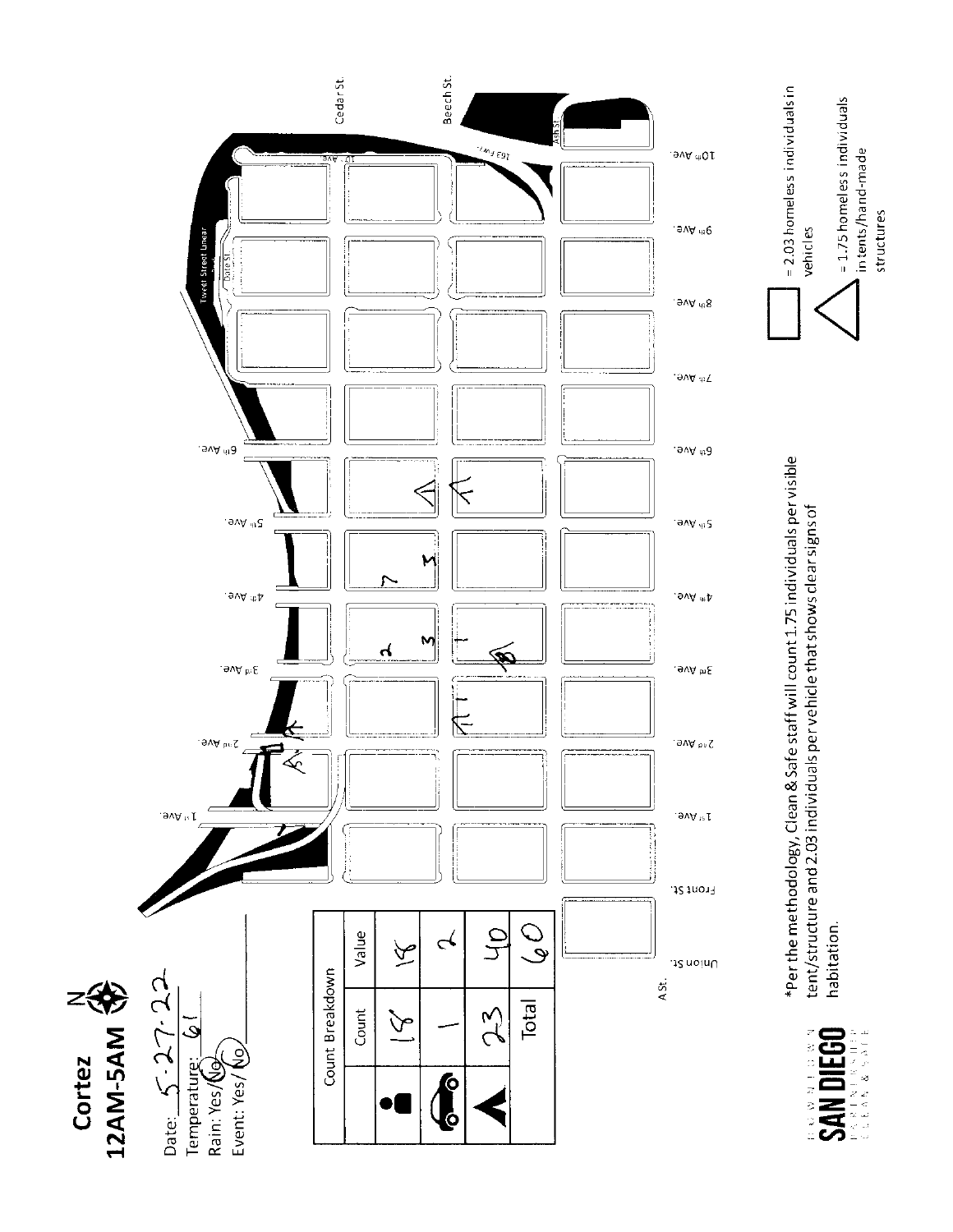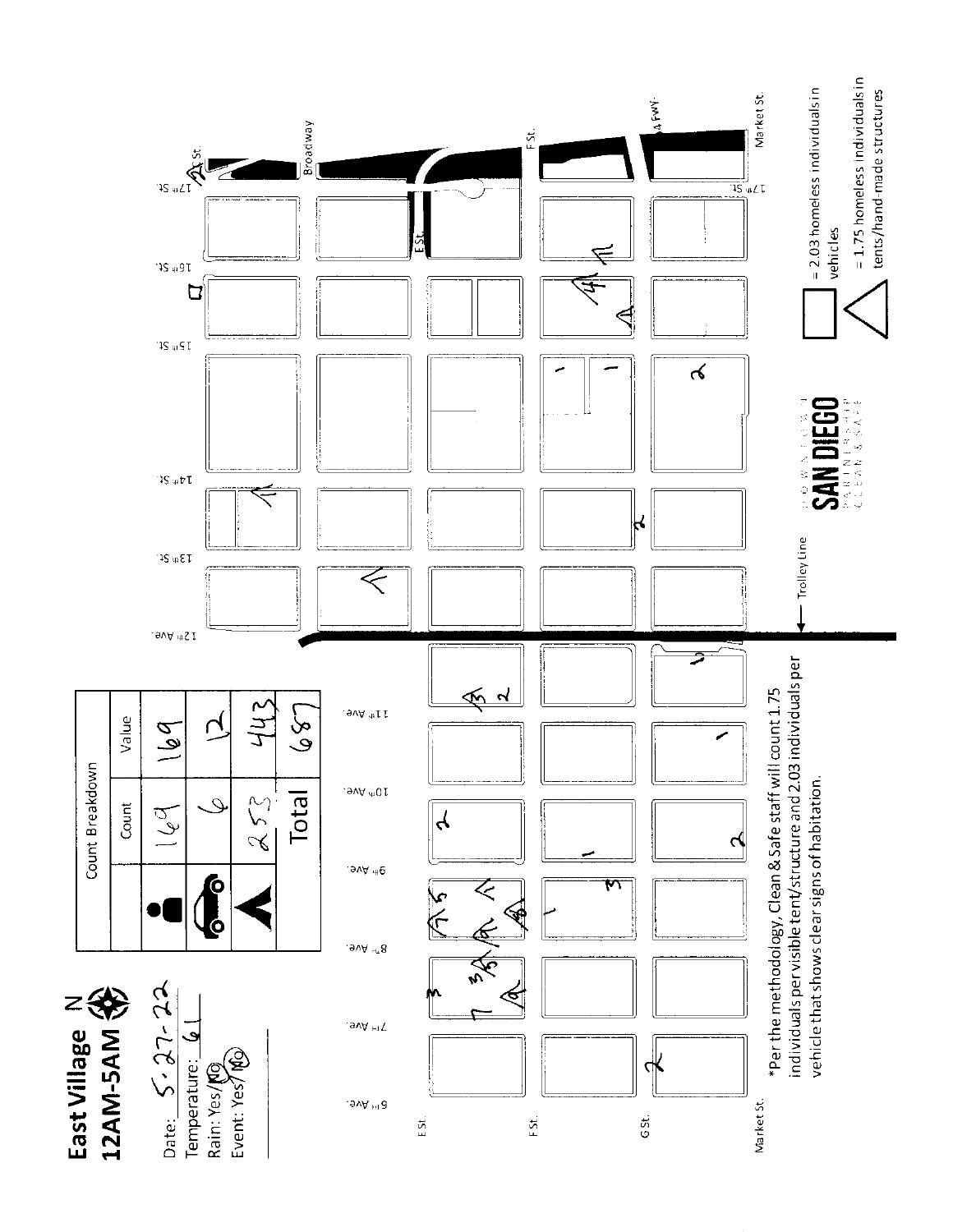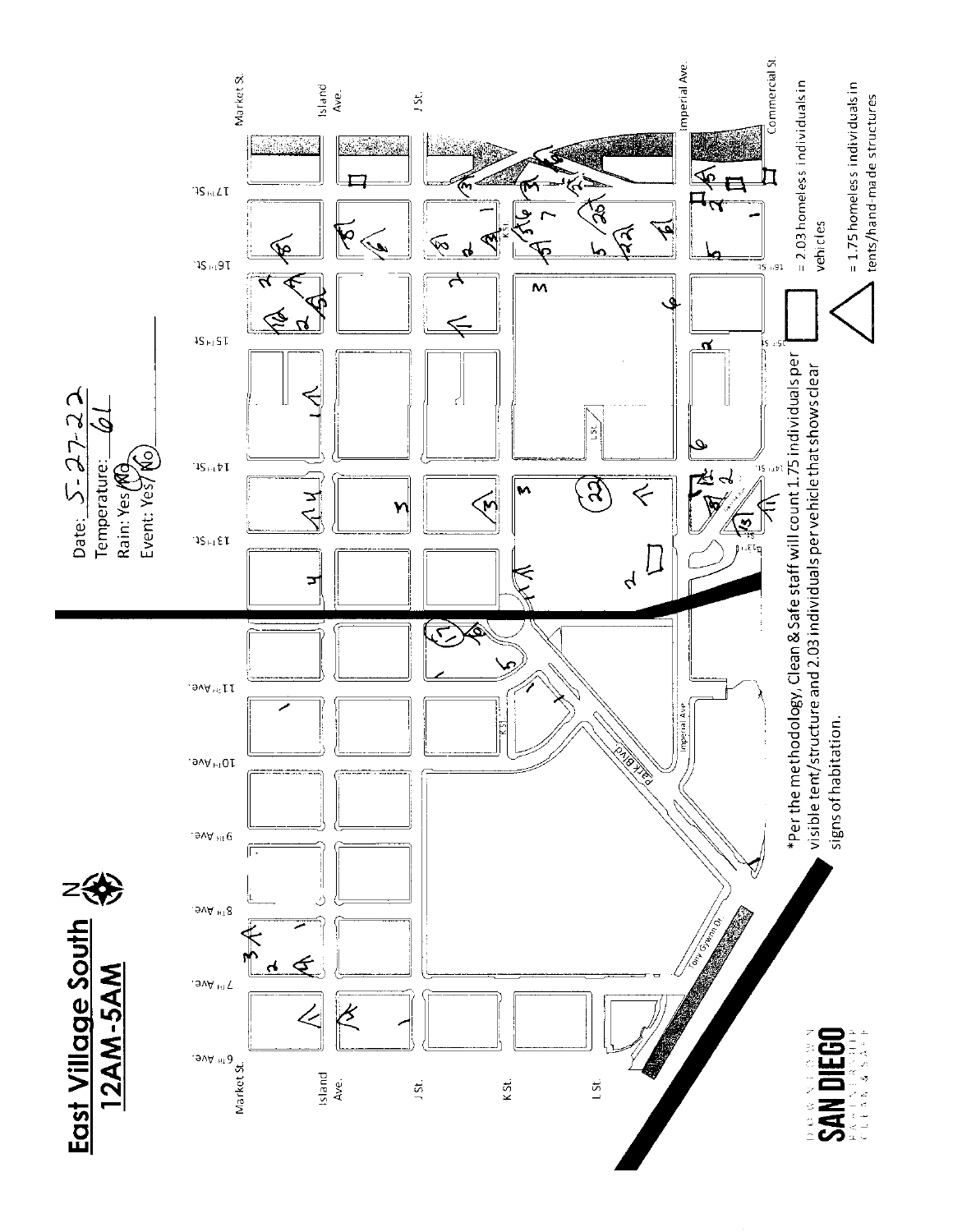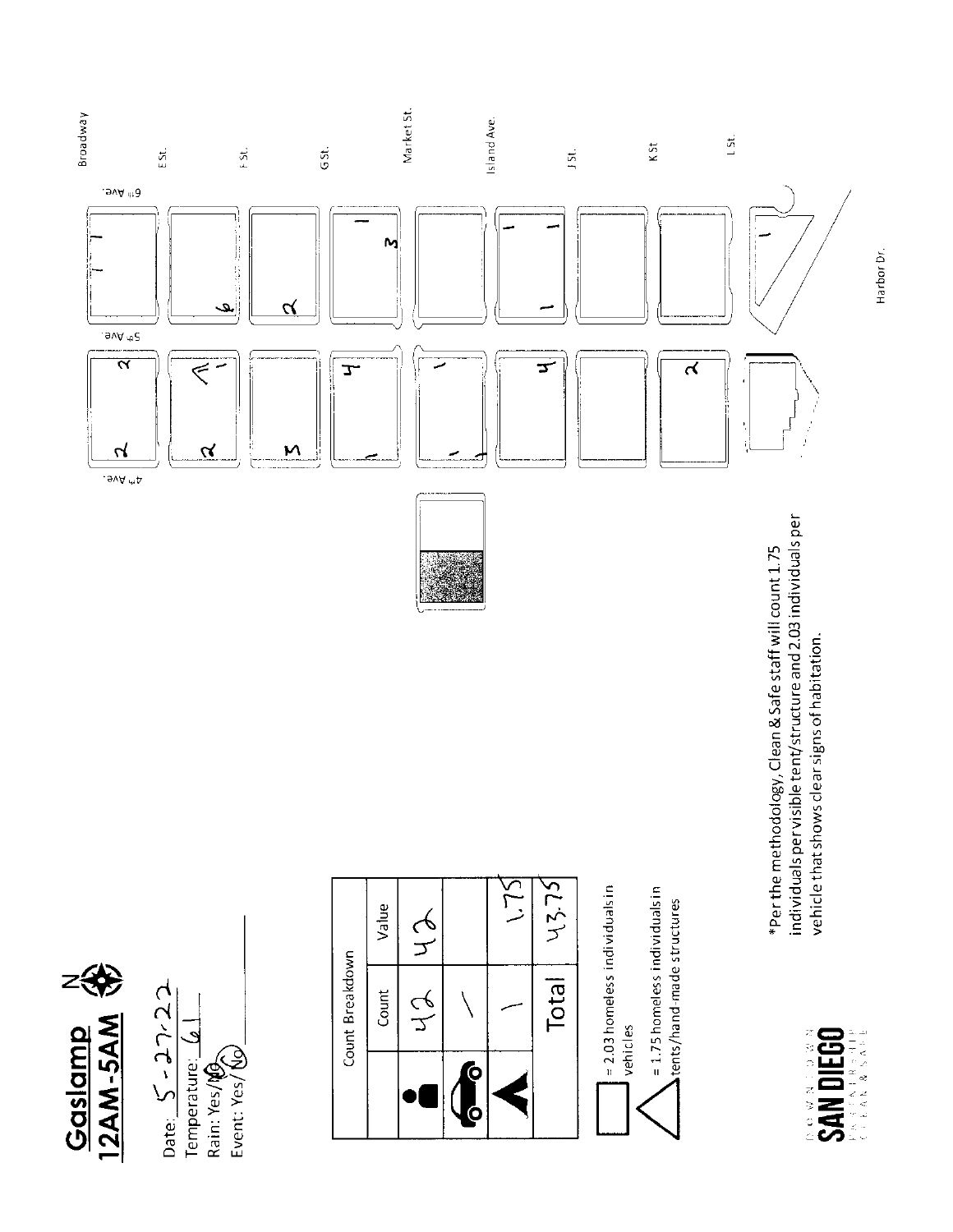

Date:  $S-2\gamma$  22 Temperature:  $6$ Event: Yes/ Vo



 $= 2.03$  homeless individuals in = 1.75 homeless individuals in tents/hand-made structures vehicles

individuals per visible tent/structure and 2.03 individuals per \*Per the methodology, Clean & Safe staff will count 1.75 vehicle that shows clear signs of habitation.





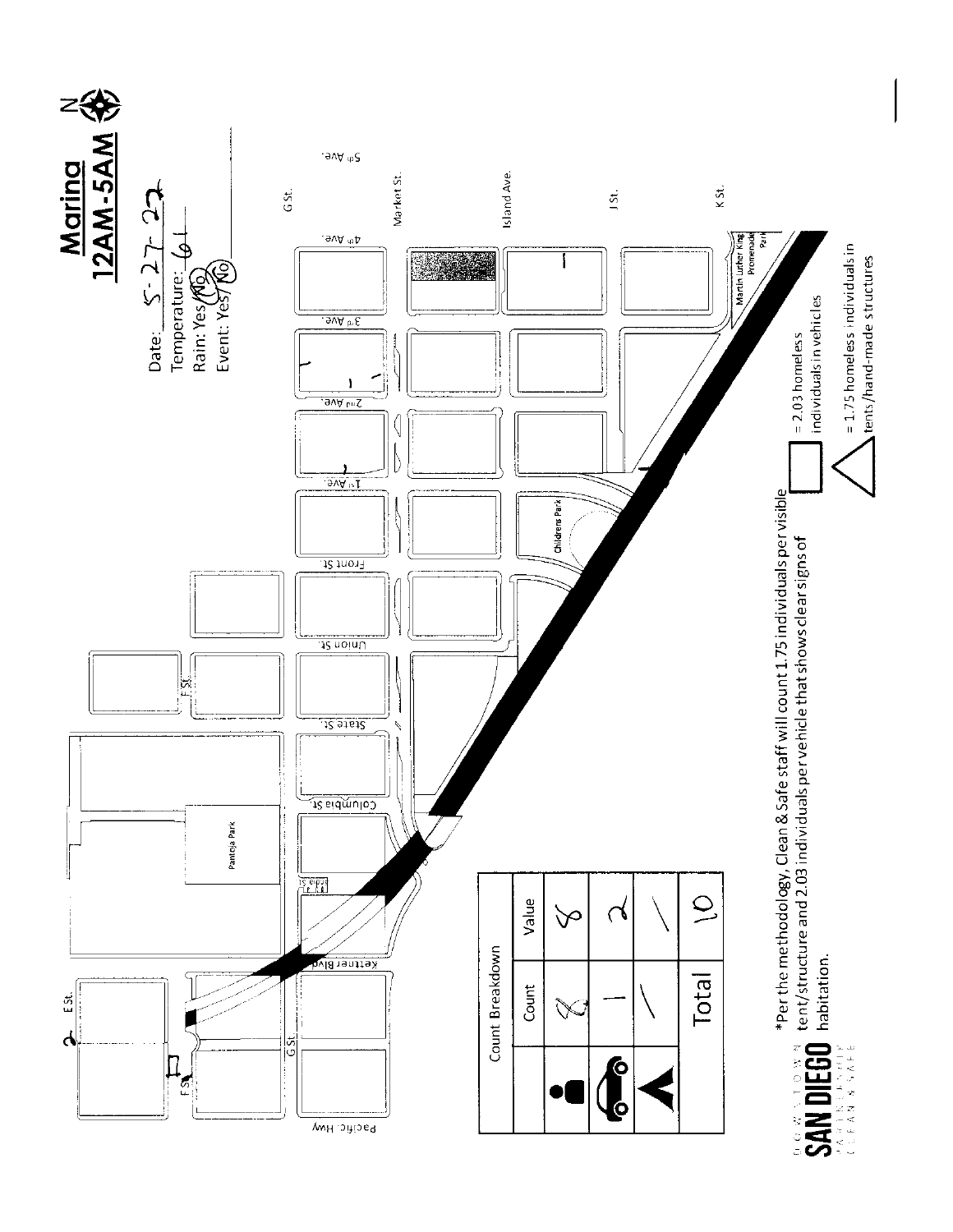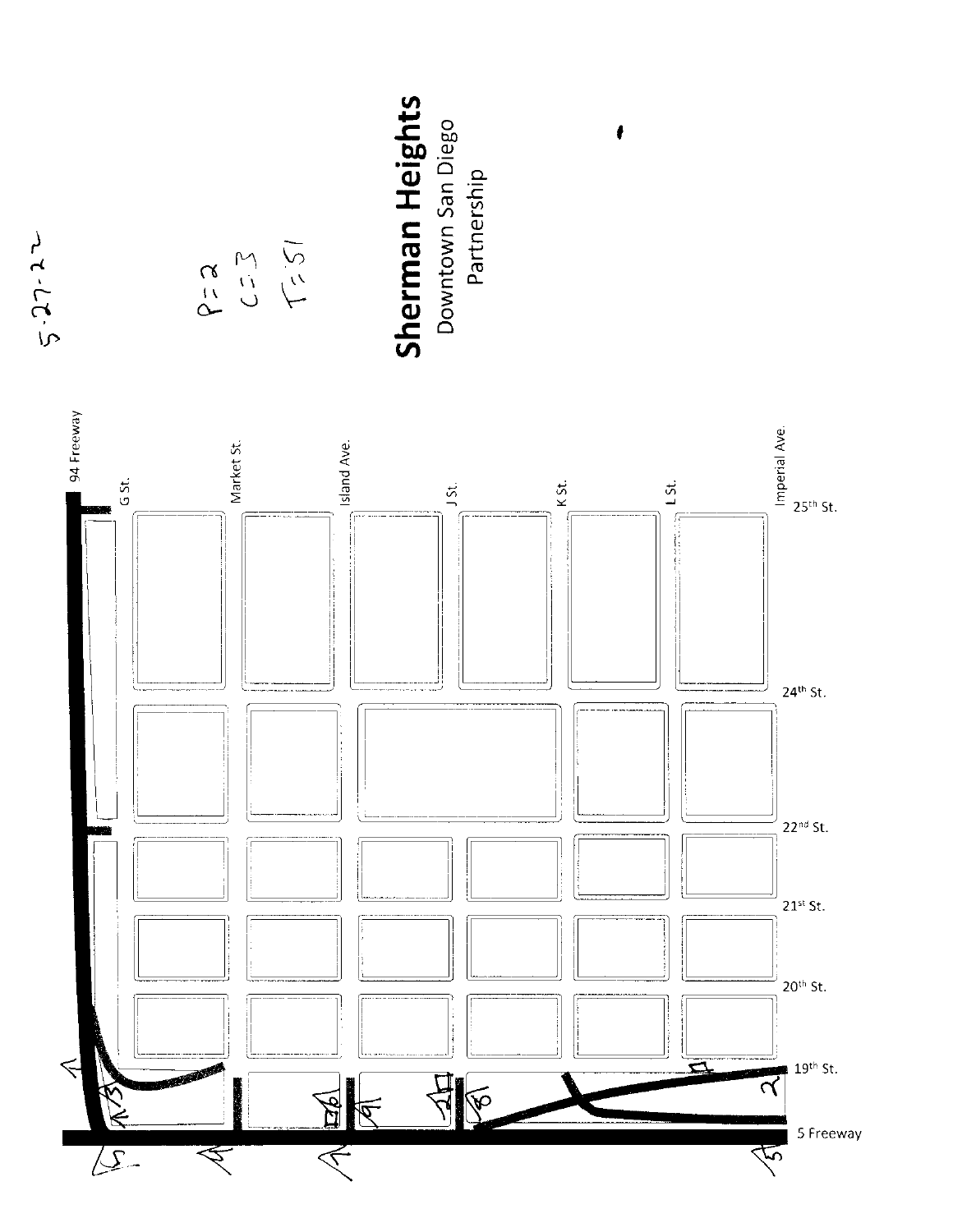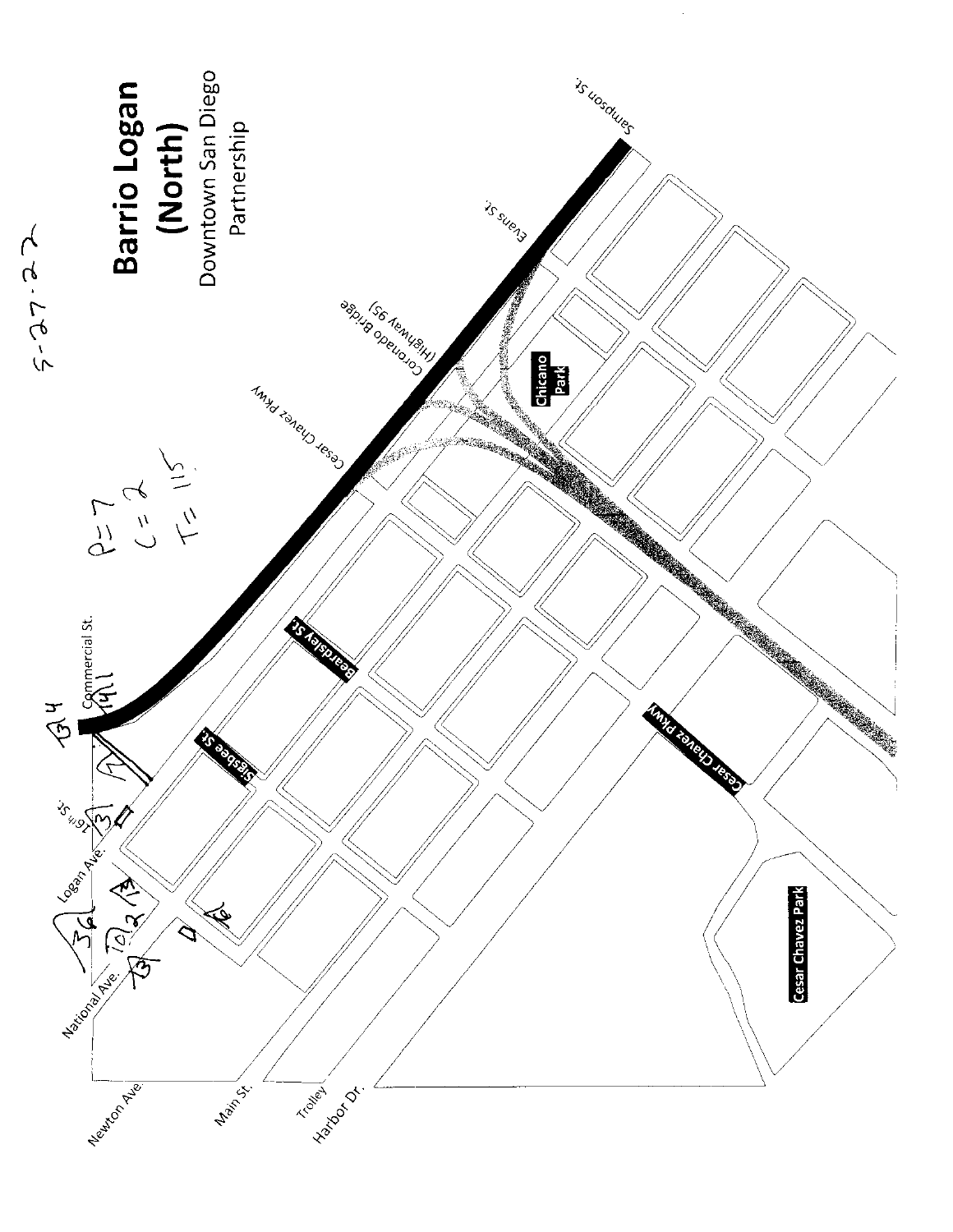